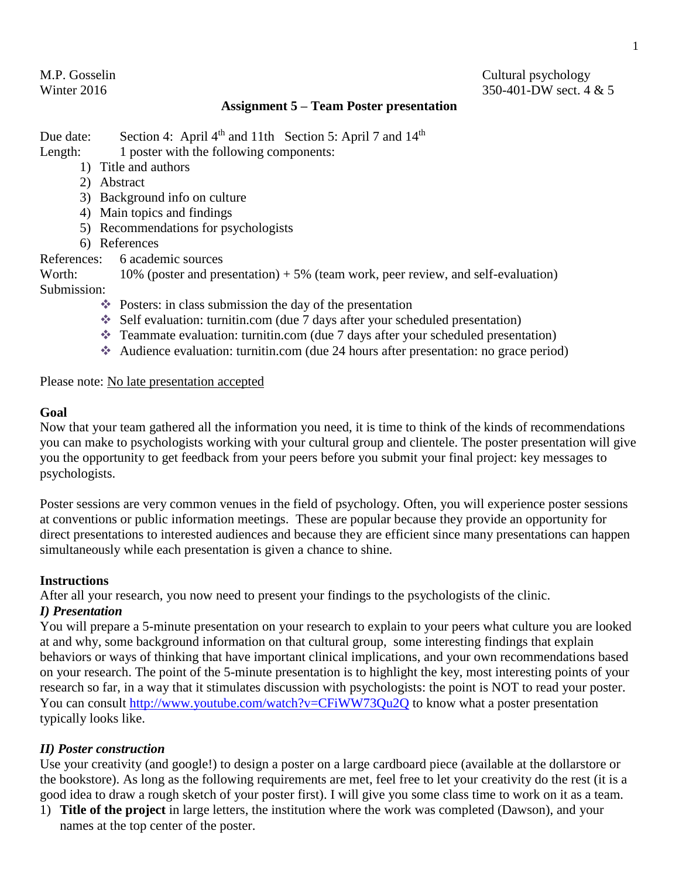# M.P. Gosselin Cultural psychology Winter 2016 350-401-DW sect. 4 & 5

# **Assignment 5 – Team Poster presentation**

Due date: Section 4: April 4<sup>th</sup> and 11th Section 5: April 7 and 14<sup>th</sup> Length: 1 poster with the following components:

- 1) Title and authors
- 2) Abstract
- 3) Background info on culture
- 4) Main topics and findings
- 5) Recommendations for psychologists
- 6) References
- References: 6 academic sources

Worth:  $10\%$  (poster and presentation)  $+5\%$  (team work, peer review, and self-evaluation) Submission:

- $\triangleleft$  Posters: in class submission the day of the presentation
- Self evaluation: turnitin.com (due 7 days after your scheduled presentation)
- Teammate evaluation: turnitin.com (due 7 days after your scheduled presentation)
- Audience evaluation: turnitin.com (due 24 hours after presentation: no grace period)

Please note: No late presentation accepted

# **Goal**

Now that your team gathered all the information you need, it is time to think of the kinds of recommendations you can make to psychologists working with your cultural group and clientele. The poster presentation will give you the opportunity to get feedback from your peers before you submit your final project: key messages to psychologists.

Poster sessions are very common venues in the field of psychology. Often, you will experience poster sessions at conventions or public information meetings. These are popular because they provide an opportunity for direct presentations to interested audiences and because they are efficient since many presentations can happen simultaneously while each presentation is given a chance to shine.

#### **Instructions**

After all your research, you now need to present your findings to the psychologists of the clinic.

# *I) Presentation*

You will prepare a 5-minute presentation on your research to explain to your peers what culture you are looked at and why, some background information on that cultural group, some interesting findings that explain behaviors or ways of thinking that have important clinical implications, and your own recommendations based on your research. The point of the 5-minute presentation is to highlight the key, most interesting points of your research so far, in a way that it stimulates discussion with psychologists: the point is NOT to read your poster. You can consult<http://www.youtube.com/watch?v=CFiWW73Qu2Q> to know what a poster presentation typically looks like.

# *II) Poster construction*

Use your creativity (and google!) to design a poster on a large cardboard piece (available at the dollarstore or the bookstore). As long as the following requirements are met, feel free to let your creativity do the rest (it is a good idea to draw a rough sketch of your poster first). I will give you some class time to work on it as a team.

1) **Title of the project** in large letters, the institution where the work was completed (Dawson), and your names at the top center of the poster.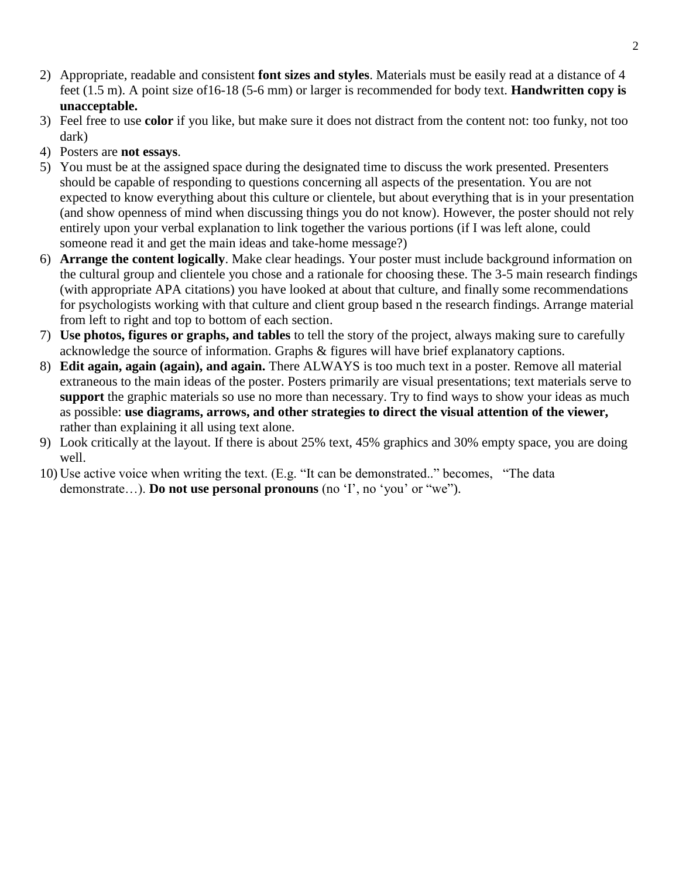- 2) Appropriate, readable and consistent **font sizes and styles**. Materials must be easily read at a distance of 4 feet (1.5 m). A point size of16-18 (5-6 mm) or larger is recommended for body text. **Handwritten copy is unacceptable.**
- 3) Feel free to use **color** if you like, but make sure it does not distract from the content not: too funky, not too dark)
- 4) Posters are **not essays**.
- 5) You must be at the assigned space during the designated time to discuss the work presented. Presenters should be capable of responding to questions concerning all aspects of the presentation. You are not expected to know everything about this culture or clientele, but about everything that is in your presentation (and show openness of mind when discussing things you do not know). However, the poster should not rely entirely upon your verbal explanation to link together the various portions (if I was left alone, could someone read it and get the main ideas and take-home message?)
- 6) **Arrange the content logically**. Make clear headings. Your poster must include background information on the cultural group and clientele you chose and a rationale for choosing these. The 3-5 main research findings (with appropriate APA citations) you have looked at about that culture, and finally some recommendations for psychologists working with that culture and client group based n the research findings. Arrange material from left to right and top to bottom of each section.
- 7) **Use photos, figures or graphs, and tables** to tell the story of the project, always making sure to carefully acknowledge the source of information. Graphs & figures will have brief explanatory captions.
- 8) **Edit again, again (again), and again.** There ALWAYS is too much text in a poster*.* Remove all material extraneous to the main ideas of the poster. Posters primarily are visual presentations; text materials serve to **support** the graphic materials so use no more than necessary. Try to find ways to show your ideas as much as possible: **use diagrams, arrows, and other strategies to direct the visual attention of the viewer,**  rather than explaining it all using text alone.
- 9) Look critically at the layout. If there is about 25% text, 45% graphics and 30% empty space, you are doing well.
- 10) Use active voice when writing the text. (E.g. "It can be demonstrated.." becomes, "The data demonstrate…). **Do not use personal pronouns** (no 'I', no 'you' or "we").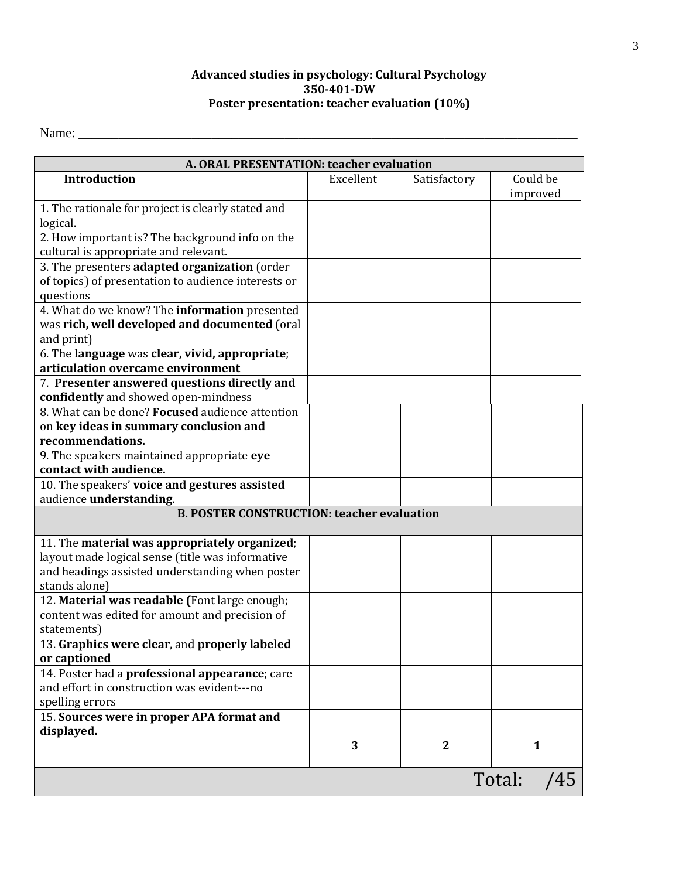## **Advanced studies in psychology: Cultural Psychology 350-401-DW Poster presentation: teacher evaluation (10%)**

Name: \_\_\_\_\_\_\_\_\_\_\_\_\_\_\_\_\_\_\_\_\_\_\_\_\_\_\_\_\_\_\_\_\_\_\_\_\_\_\_\_\_\_\_\_\_\_\_\_\_\_\_\_\_\_\_\_\_\_\_\_\_\_\_\_\_\_\_\_\_\_\_\_\_\_\_

| A. ORAL PRESENTATION: teacher evaluation            |           |              |               |  |
|-----------------------------------------------------|-----------|--------------|---------------|--|
| <b>Introduction</b>                                 | Excellent | Satisfactory | Could be      |  |
|                                                     |           |              | improved      |  |
| 1. The rationale for project is clearly stated and  |           |              |               |  |
| logical.                                            |           |              |               |  |
| 2. How important is? The background info on the     |           |              |               |  |
| cultural is appropriate and relevant.               |           |              |               |  |
| 3. The presenters adapted organization (order       |           |              |               |  |
| of topics) of presentation to audience interests or |           |              |               |  |
| questions                                           |           |              |               |  |
| 4. What do we know? The information presented       |           |              |               |  |
| was rich, well developed and documented (oral       |           |              |               |  |
| and print)                                          |           |              |               |  |
| 6. The language was clear, vivid, appropriate;      |           |              |               |  |
| articulation overcame environment                   |           |              |               |  |
| 7. Presenter answered questions directly and        |           |              |               |  |
| confidently and showed open-mindness                |           |              |               |  |
| 8. What can be done? Focused audience attention     |           |              |               |  |
| on key ideas in summary conclusion and              |           |              |               |  |
| recommendations.                                    |           |              |               |  |
| 9. The speakers maintained appropriate eye          |           |              |               |  |
| contact with audience.                              |           |              |               |  |
| 10. The speakers' voice and gestures assisted       |           |              |               |  |
| audience understanding.                             |           |              |               |  |
| <b>B. POSTER CONSTRUCTION: teacher evaluation</b>   |           |              |               |  |
| 11. The material was appropriately organized;       |           |              |               |  |
| layout made logical sense (title was informative    |           |              |               |  |
| and headings assisted understanding when poster     |           |              |               |  |
| stands alone)                                       |           |              |               |  |
| 12. Material was readable (Font large enough;       |           |              |               |  |
| content was edited for amount and precision of      |           |              |               |  |
| statements                                          |           |              |               |  |
| 13. Graphics were clear, and properly labeled       |           |              |               |  |
| or captioned                                        |           |              |               |  |
| 14. Poster had a professional appearance; care      |           |              |               |  |
| and effort in construction was evident---no         |           |              |               |  |
| spelling errors                                     |           |              |               |  |
| 15. Sources were in proper APA format and           |           |              |               |  |
| displayed.                                          |           |              |               |  |
|                                                     | 3         | $\mathbf{2}$ | $\mathbf{1}$  |  |
|                                                     |           |              |               |  |
|                                                     |           |              | Total:<br>/45 |  |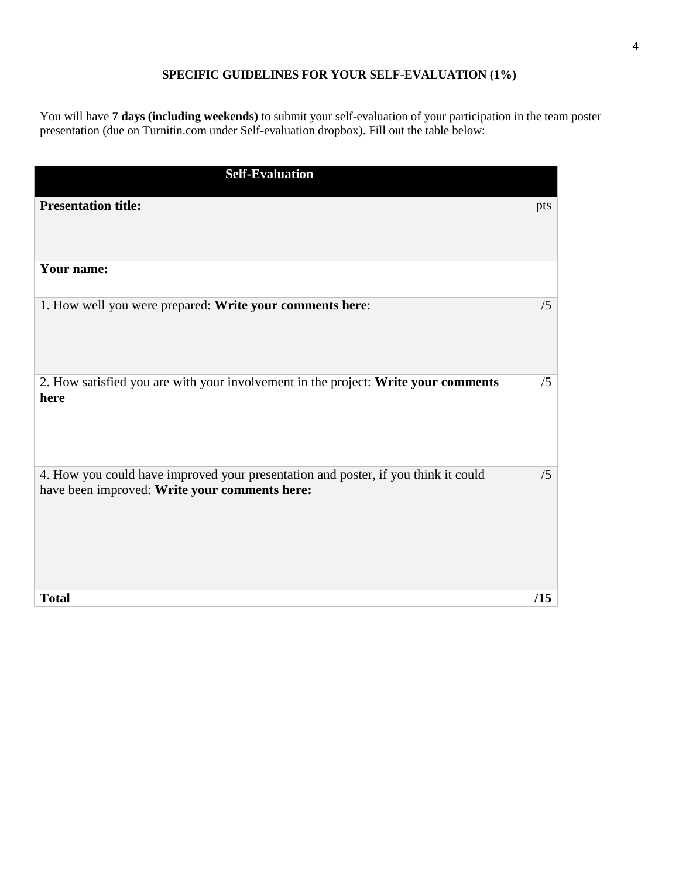# **SPECIFIC GUIDELINES FOR YOUR SELF-EVALUATION (1%)**

You will have **7 days (including weekends)** to submit your self-evaluation of your participation in the team poster presentation (due on Turnitin.com under Self-evaluation dropbox). Fill out the table below:

| <b>Self-Evaluation</b>                                                                                                              |     |
|-------------------------------------------------------------------------------------------------------------------------------------|-----|
| <b>Presentation title:</b>                                                                                                          | pts |
| Your name:                                                                                                                          |     |
| 1. How well you were prepared: Write your comments here:                                                                            | /5  |
| 2. How satisfied you are with your involvement in the project: Write your comments<br>here                                          | /5  |
| 4. How you could have improved your presentation and poster, if you think it could<br>have been improved: Write your comments here: | /5  |
| <b>Total</b>                                                                                                                        | /15 |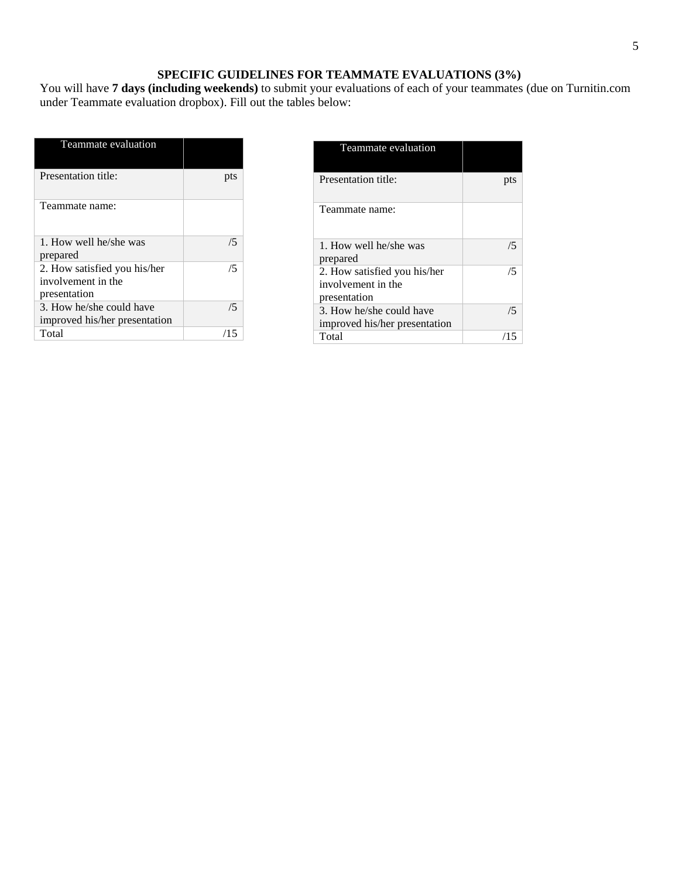#### **SPECIFIC GUIDELINES FOR TEAMMATE EVALUATIONS (3%)**

You will have **7 days (including weekends)** to submit your evaluations of each of your teammates (due on Turnitin.com under Teammate evaluation dropbox). Fill out the tables below:

| Teammate evaluation                                                |     |
|--------------------------------------------------------------------|-----|
| Presentation title:                                                | pts |
| Teammate name:                                                     |     |
| 1. How well he/she was<br>prepared                                 | 75  |
| 2. How satisfied you his/her<br>involvement in the<br>presentation | /5  |
| 3. How he/she could have<br>improved his/her presentation          | /5  |
| Total                                                              | /15 |

| Teammate evaluation                                                |    |
|--------------------------------------------------------------------|----|
| Presentation title:                                                |    |
| Teammate name:                                                     |    |
| 1. How well he/she was<br>prepared                                 | /5 |
| 2. How satisfied you his/her<br>involvement in the<br>presentation | /5 |
| 3. How he/she could have<br>improved his/her presentation          | /5 |
| Total                                                              |    |